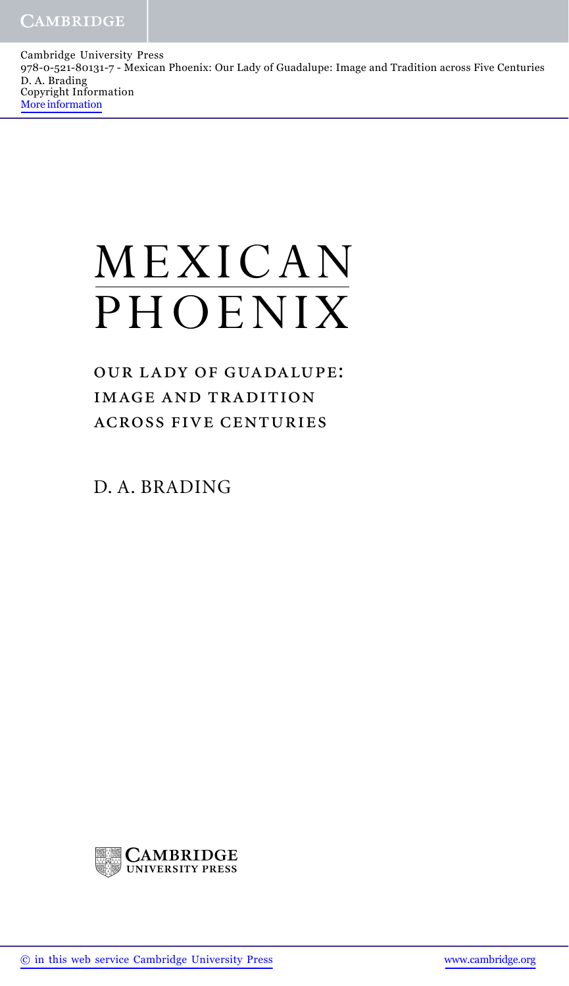Cambridge University Press 978-0-521-80131-7 - Mexican Phoenix: Our Lady of Guadalupe: Image and Tradition across Five Centuries D. A. Brading Copyright Information More information

## MEXICAN PHOENIX

OUR LADY OF GUADALUPE: **IMAGE AND TRADITION ACROSS FIVE CENTURIES** 

D. A. BRADING